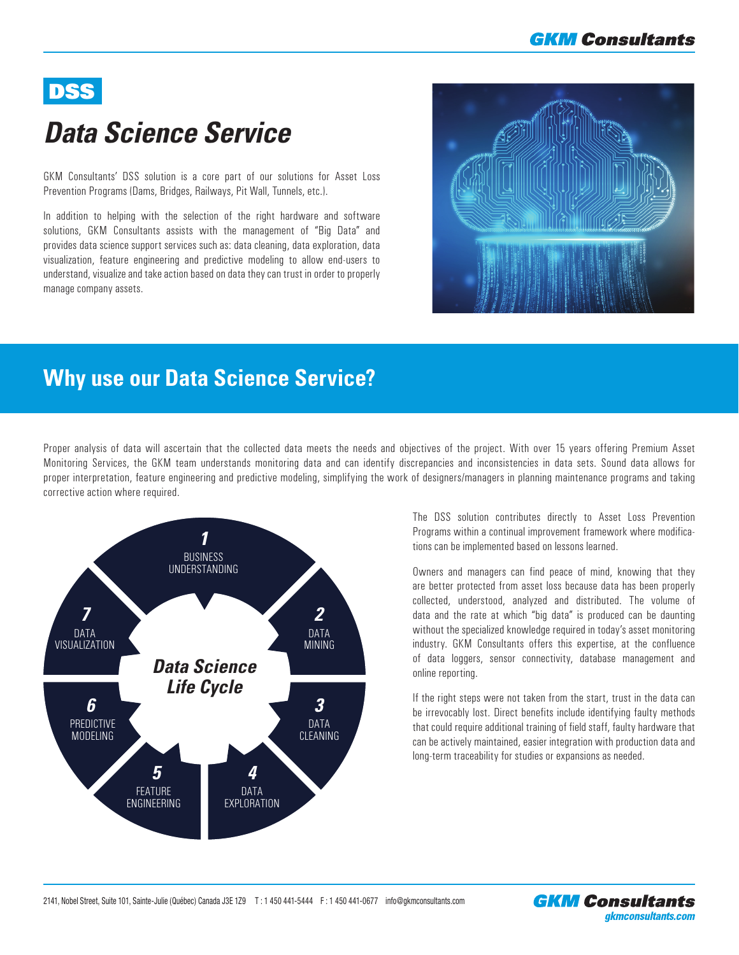## **GKM Consultants**

# DSS

# *Data Science Service*

GKM Consultants' DSS solution is a core part of our solutions for Asset Loss Prevention Programs (Dams, Bridges, Railways, Pit Wall, Tunnels, etc.).

In addition to helping with the selection of the right hardware and software solutions, GKM Consultants assists with the management of "Big Data" and provides data science support services such as: data cleaning, data exploration, data visualization, feature engineering and predictive modeling to allow end-users to understand, visualize and take action based on data they can trust in order to properly manage company assets.

**Why use our Data Science Service?**

## The DSS solution contributes directly to Asset Loss Prevention Programs within a continual improvement framework where modifica-

tions can be implemented based on lessons learned.

Proper analysis of data will ascertain that the collected data meets the needs and objectives of the project. With over 15 years offering Premium Asset Monitoring Services, the GKM team understands monitoring data and can identify discrepancies and inconsistencies in data sets. Sound data allows for proper interpretation, feature engineering and predictive modeling, simplifying the work of designers/managers in planning maintenance programs and taking

> Owners and managers can find peace of mind, knowing that they are better protected from asset loss because data has been properly collected, understood, analyzed and distributed. The volume of data and the rate at which "big data" is produced can be daunting without the specialized knowledge required in today's asset monitoring industry. GKM Consultants offers this expertise, at the confluence of data loggers, sensor connectivity, database management and online reporting.

> If the right steps were not taken from the start, trust in the data can be irrevocably lost. Direct benefits include identifying faulty methods that could require additional training of field staff, faulty hardware that can be actively maintained, easier integration with production data and long-term traceability for studies or expansions as needed.